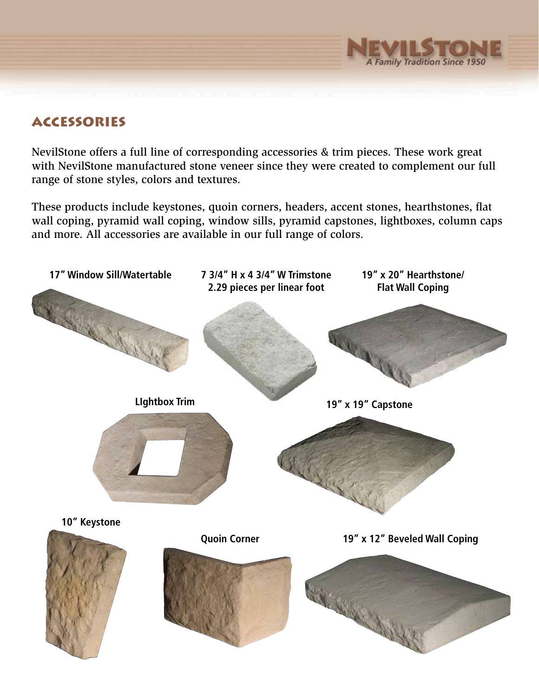

## **ACCESSORIES**

NevilStone offers a full line of corresponding accessories & trim pieces. These work great with NevilStone manufactured stone veneer since they were created to complement our full range of stone styles, colors and textures.

These products include keystones, quoin corners, headers, accent stones, hearthstones, flat wall coping, pyramid wall coping, window sills, pyramid capstones, lightboxes, column caps and more. All accessories are available in our full range of colors.